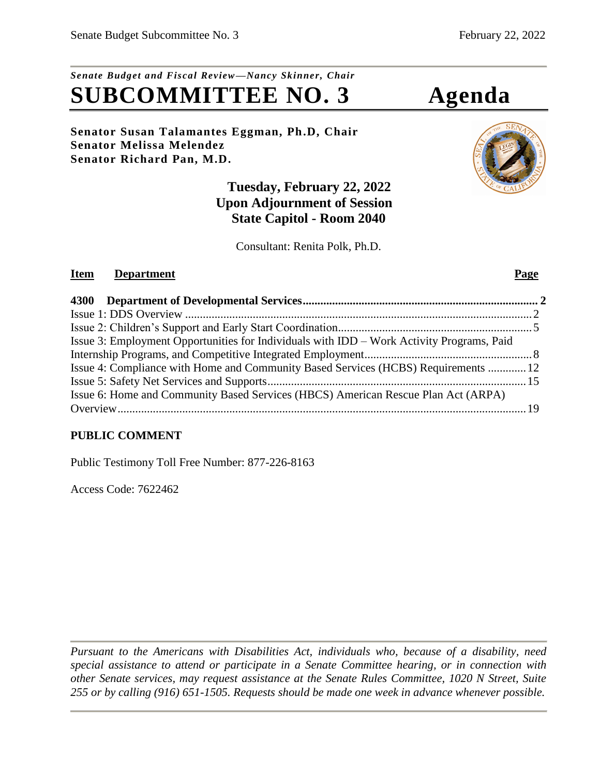# *Senate Budget and Fiscal Review—Nancy Skinner, Chair* **SUBCOMMITTEE NO. 3 Agenda**

## **Senator Susan Talamantes Eggman, Ph.D, Chair Senator Melissa Melendez Senator Richard Pan, M.D.**

# **Tuesday, February 22, 2022 Upon Adjournment of Session State Capitol - Room 2040**

Consultant: Renita Polk, Ph.D.

# **Item Department Page**

# **4300 [Department of Developmental Services................................................................................](#page-1-0) 2** Issue 1: DDS Overview [......................................................................................................................2](#page-1-1) [Issue 2: Children's Support and Early Start Coordination..................................................................5](#page-4-0) [Issue 3: Employment Opportunities for Individuals with IDD –](#page-7-0) Work Activity Programs, Paid [Internship Programs, and Competitive Integrated Employment.........................................................8](#page-7-0) [Issue 4: Compliance with Home and Community Based Services \(HCBS\) Requirements](#page-11-0) .............12 [Issue 5: Safety Net Services and Supports........................................................................................15](#page-14-0) Issue 6: [Home and Community Based Services \(HBCS\) American Rescue Plan Act \(ARPA\)](#page-18-0)  [Overview...........................................................................................................................................19](#page-18-0)

# **PUBLIC COMMENT**

Public Testimony Toll Free Number: 877-226-8163

Access Code: 7622462

*Pursuant to the Americans with Disabilities Act, individuals who, because of a disability, need special assistance to attend or participate in a Senate Committee hearing, or in connection with other Senate services, may request assistance at the Senate Rules Committee, 1020 N Street, Suite 255 or by calling (916) 651-1505. Requests should be made one week in advance whenever possible.*

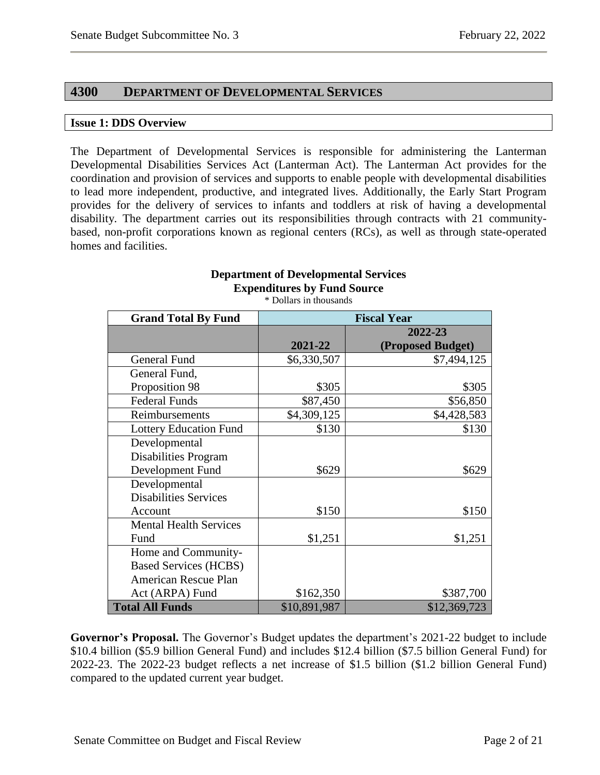## <span id="page-1-0"></span>**4300 DEPARTMENT OF DEVELOPMENTAL SERVICES**

#### <span id="page-1-1"></span>**Issue 1: DDS Overview**

The Department of Developmental Services is responsible for administering the Lanterman Developmental Disabilities Services Act (Lanterman Act). The Lanterman Act provides for the coordination and provision of services and supports to enable people with developmental disabilities to lead more independent, productive, and integrated lives. Additionally, the Early Start Program provides for the delivery of services to infants and toddlers at risk of having a developmental disability. The department carries out its responsibilities through contracts with 21 communitybased, non-profit corporations known as regional centers (RCs), as well as through state-operated homes and facilities.

#### **Department of Developmental Services Expenditures by Fund Source**

| <b>Grand Total By Fund</b>    | <b>Fiscal Year</b> |                   |  |  |
|-------------------------------|--------------------|-------------------|--|--|
|                               |                    | 2022-23           |  |  |
|                               | 2021-22            | (Proposed Budget) |  |  |
| <b>General Fund</b>           | \$6,330,507        | \$7,494,125       |  |  |
| General Fund,                 |                    |                   |  |  |
| Proposition 98                | \$305              | \$305             |  |  |
| <b>Federal Funds</b>          | \$87,450           | \$56,850          |  |  |
| Reimbursements                | \$4,309,125        | \$4,428,583       |  |  |
| <b>Lottery Education Fund</b> | \$130              | \$130             |  |  |
| Developmental                 |                    |                   |  |  |
| <b>Disabilities Program</b>   |                    |                   |  |  |
| Development Fund              | \$629              | \$629             |  |  |
| Developmental                 |                    |                   |  |  |
| <b>Disabilities Services</b>  |                    |                   |  |  |
| Account                       | \$150              | \$150             |  |  |
| <b>Mental Health Services</b> |                    |                   |  |  |
| Fund                          | \$1,251            | \$1,251           |  |  |
| Home and Community-           |                    |                   |  |  |
| <b>Based Services (HCBS)</b>  |                    |                   |  |  |
| American Rescue Plan          |                    |                   |  |  |
| Act (ARPA) Fund               | \$162,350          | \$387,700         |  |  |
| <b>Total All Funds</b>        | \$10,891,987       | \$12,369,723      |  |  |

\* Dollars in thousands

**Governor's Proposal.** The Governor's Budget updates the department's 2021-22 budget to include \$10.4 billion (\$5.9 billion General Fund) and includes \$12.4 billion (\$7.5 billion General Fund) for 2022-23. The 2022-23 budget reflects a net increase of \$1.5 billion (\$1.2 billion General Fund) compared to the updated current year budget.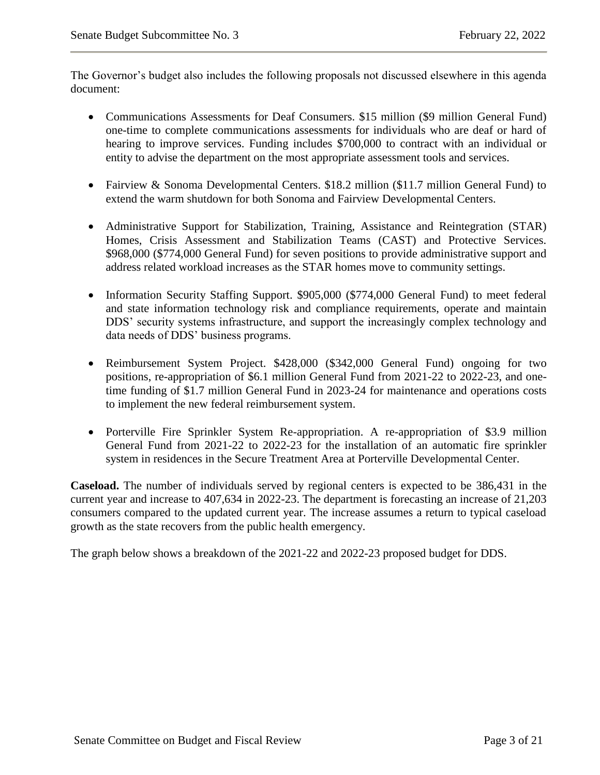The Governor's budget also includes the following proposals not discussed elsewhere in this agenda document:

- Communications Assessments for Deaf Consumers. \$15 million (\$9 million General Fund) one-time to complete communications assessments for individuals who are deaf or hard of hearing to improve services. Funding includes \$700,000 to contract with an individual or entity to advise the department on the most appropriate assessment tools and services.
- Fairview & Sonoma Developmental Centers. \$18.2 million (\$11.7 million General Fund) to extend the warm shutdown for both Sonoma and Fairview Developmental Centers.
- Administrative Support for Stabilization, Training, Assistance and Reintegration (STAR) Homes, Crisis Assessment and Stabilization Teams (CAST) and Protective Services. \$968,000 (\$774,000 General Fund) for seven positions to provide administrative support and address related workload increases as the STAR homes move to community settings.
- Information Security Staffing Support. \$905,000 (\$774,000 General Fund) to meet federal and state information technology risk and compliance requirements, operate and maintain DDS' security systems infrastructure, and support the increasingly complex technology and data needs of DDS' business programs.
- Reimbursement System Project. \$428,000 (\$342,000 General Fund) ongoing for two positions, re-appropriation of \$6.1 million General Fund from 2021-22 to 2022-23, and onetime funding of \$1.7 million General Fund in 2023-24 for maintenance and operations costs to implement the new federal reimbursement system.
- Porterville Fire Sprinkler System Re-appropriation. A re-appropriation of \$3.9 million General Fund from 2021-22 to 2022-23 for the installation of an automatic fire sprinkler system in residences in the Secure Treatment Area at Porterville Developmental Center.

**Caseload.** The number of individuals served by regional centers is expected to be 386,431 in the current year and increase to 407,634 in 2022-23. The department is forecasting an increase of 21,203 consumers compared to the updated current year. The increase assumes a return to typical caseload growth as the state recovers from the public health emergency.

The graph below shows a breakdown of the 2021-22 and 2022-23 proposed budget for DDS.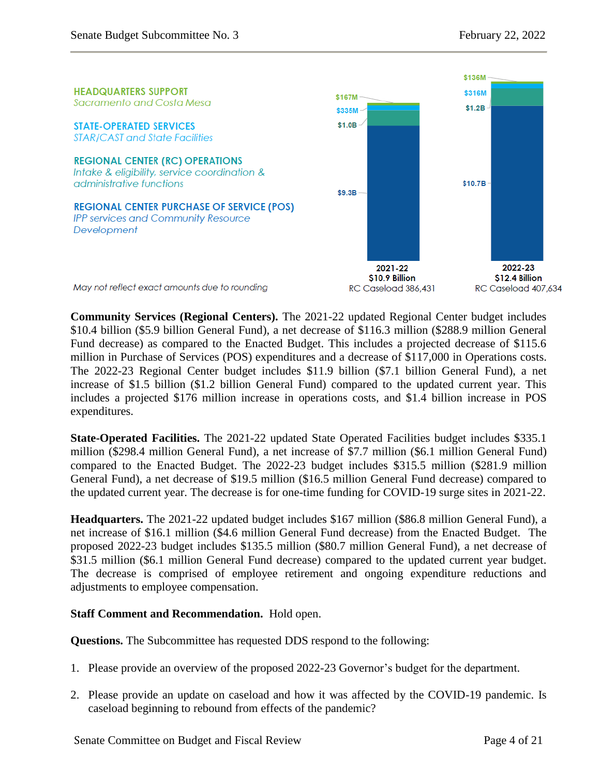

**Community Services (Regional Centers).** The 2021-22 updated Regional Center budget includes \$10.4 billion (\$5.9 billion General Fund), a net decrease of \$116.3 million (\$288.9 million General Fund decrease) as compared to the Enacted Budget. This includes a projected decrease of \$115.6 million in Purchase of Services (POS) expenditures and a decrease of \$117,000 in Operations costs. The 2022-23 Regional Center budget includes \$11.9 billion (\$7.1 billion General Fund), a net increase of \$1.5 billion (\$1.2 billion General Fund) compared to the updated current year. This includes a projected \$176 million increase in operations costs, and \$1.4 billion increase in POS expenditures.

**State-Operated Facilities.** The 2021-22 updated State Operated Facilities budget includes \$335.1 million (\$298.4 million General Fund), a net increase of \$7.7 million (\$6.1 million General Fund) compared to the Enacted Budget. The 2022-23 budget includes \$315.5 million (\$281.9 million General Fund), a net decrease of \$19.5 million (\$16.5 million General Fund decrease) compared to the updated current year. The decrease is for one-time funding for COVID-19 surge sites in 2021-22.

**Headquarters.** The 2021-22 updated budget includes \$167 million (\$86.8 million General Fund), a net increase of \$16.1 million (\$4.6 million General Fund decrease) from the Enacted Budget. The proposed 2022-23 budget includes \$135.5 million (\$80.7 million General Fund), a net decrease of \$31.5 million (\$6.1 million General Fund decrease) compared to the updated current year budget. The decrease is comprised of employee retirement and ongoing expenditure reductions and adjustments to employee compensation.

#### **Staff Comment and Recommendation.** Hold open.

- 1. Please provide an overview of the proposed 2022-23 Governor's budget for the department.
- 2. Please provide an update on caseload and how it was affected by the COVID-19 pandemic. Is caseload beginning to rebound from effects of the pandemic?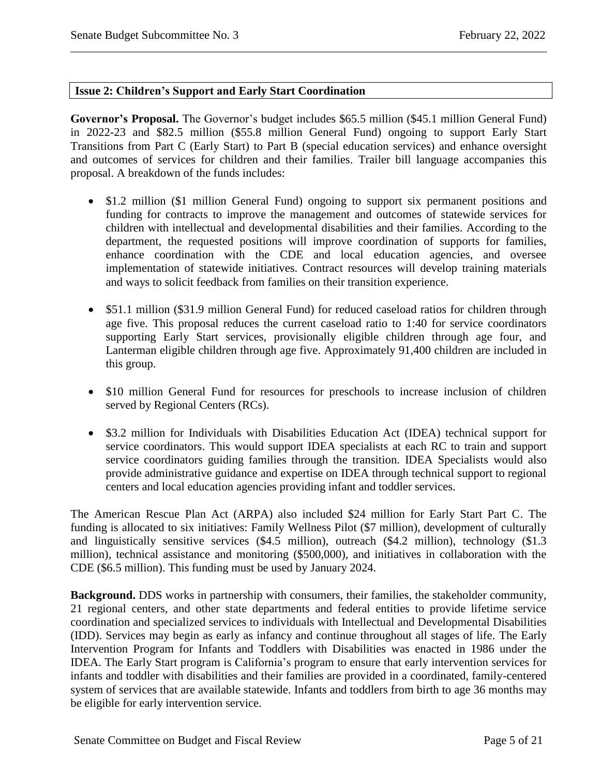## <span id="page-4-0"></span>**Issue 2: Children's Support and Early Start Coordination**

**Governor's Proposal.** The Governor's budget includes \$65.5 million (\$45.1 million General Fund) in 2022-23 and \$82.5 million (\$55.8 million General Fund) ongoing to support Early Start Transitions from Part C (Early Start) to Part B (special education services) and enhance oversight and outcomes of services for children and their families. Trailer bill language accompanies this proposal. A breakdown of the funds includes:

- \$1.2 million (\$1 million General Fund) ongoing to support six permanent positions and funding for contracts to improve the management and outcomes of statewide services for children with intellectual and developmental disabilities and their families. According to the department, the requested positions will improve coordination of supports for families, enhance coordination with the CDE and local education agencies, and oversee implementation of statewide initiatives. Contract resources will develop training materials and ways to solicit feedback from families on their transition experience.
- \$51.1 million (\$31.9 million General Fund) for reduced caseload ratios for children through age five. This proposal reduces the current caseload ratio to 1:40 for service coordinators supporting Early Start services, provisionally eligible children through age four, and Lanterman eligible children through age five. Approximately 91,400 children are included in this group.
- \$10 million General Fund for resources for preschools to increase inclusion of children served by Regional Centers (RCs).
- \$3.2 million for Individuals with Disabilities Education Act (IDEA) technical support for service coordinators. This would support IDEA specialists at each RC to train and support service coordinators guiding families through the transition. IDEA Specialists would also provide administrative guidance and expertise on IDEA through technical support to regional centers and local education agencies providing infant and toddler services.

The American Rescue Plan Act (ARPA) also included \$24 million for Early Start Part C. The funding is allocated to six initiatives: Family Wellness Pilot (\$7 million), development of culturally and linguistically sensitive services (\$4.5 million), outreach (\$4.2 million), technology (\$1.3 million), technical assistance and monitoring (\$500,000), and initiatives in collaboration with the CDE (\$6.5 million). This funding must be used by January 2024.

**Background.** DDS works in partnership with consumers, their families, the stakeholder community, 21 regional centers, and other state departments and federal entities to provide lifetime service coordination and specialized services to individuals with Intellectual and Developmental Disabilities (IDD). Services may begin as early as infancy and continue throughout all stages of life. The Early Intervention Program for Infants and Toddlers with Disabilities was enacted in 1986 under the IDEA. The Early Start program is California's program to ensure that early intervention services for infants and toddler with disabilities and their families are provided in a coordinated, family-centered system of services that are available statewide. Infants and toddlers from birth to age 36 months may be eligible for early intervention service.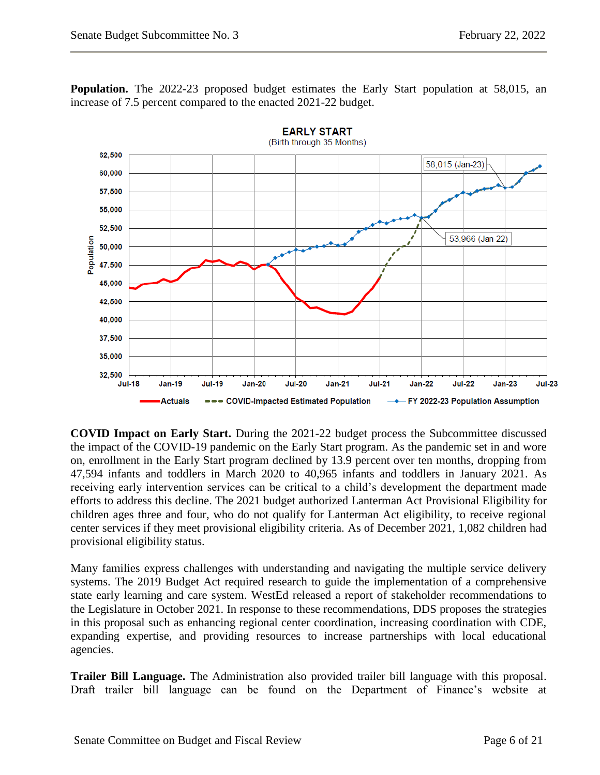

**Population.** The 2022-23 proposed budget estimates the Early Start population at 58,015, an increase of 7.5 percent compared to the enacted 2021-22 budget.

**COVID Impact on Early Start.** During the 2021-22 budget process the Subcommittee discussed the impact of the COVID-19 pandemic on the Early Start program. As the pandemic set in and wore on, enrollment in the Early Start program declined by 13.9 percent over ten months, dropping from 47,594 infants and toddlers in March 2020 to 40,965 infants and toddlers in January 2021. As receiving early intervention services can be critical to a child's development the department made efforts to address this decline. The 2021 budget authorized Lanterman Act Provisional Eligibility for children ages three and four, who do not qualify for Lanterman Act eligibility, to receive regional center services if they meet provisional eligibility criteria. As of December 2021, 1,082 children had provisional eligibility status.

Many families express challenges with understanding and navigating the multiple service delivery systems. The 2019 Budget Act required research to guide the implementation of a comprehensive state early learning and care system. WestEd released a report of stakeholder recommendations to the Legislature in October 2021. In response to these recommendations, DDS proposes the strategies in this proposal such as enhancing regional center coordination, increasing coordination with CDE, expanding expertise, and providing resources to increase partnerships with local educational agencies.

**Trailer Bill Language.** The Administration also provided trailer bill language with this proposal. Draft trailer bill language can be found on the Department of Finance's website at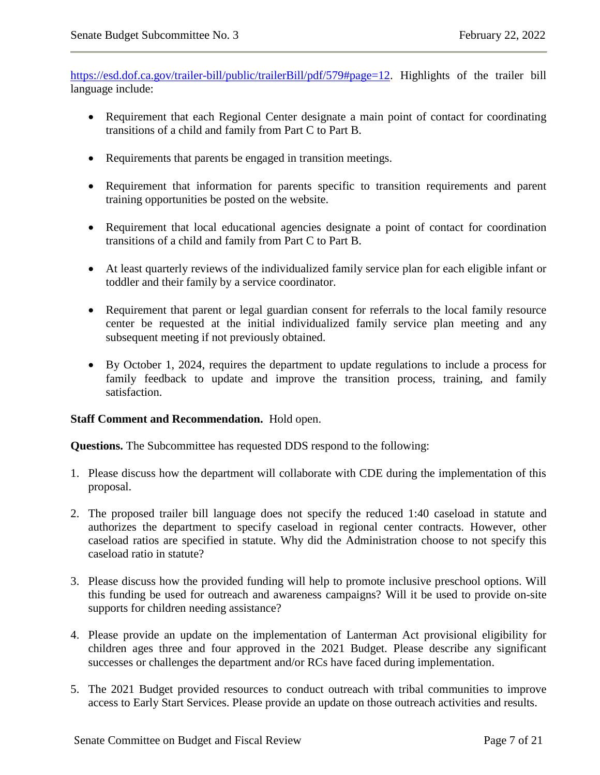[https://esd.dof.ca.gov/trailer-bill/public/trailerBill/pdf/579#page=12.](https://esd.dof.ca.gov/trailer-bill/public/trailerBill/pdf/579#page=12) Highlights of the trailer bill language include:

- Requirement that each Regional Center designate a main point of contact for coordinating transitions of a child and family from Part C to Part B.
- Requirements that parents be engaged in transition meetings.
- Requirement that information for parents specific to transition requirements and parent training opportunities be posted on the website.
- Requirement that local educational agencies designate a point of contact for coordination transitions of a child and family from Part C to Part B.
- At least quarterly reviews of the individualized family service plan for each eligible infant or toddler and their family by a service coordinator.
- Requirement that parent or legal guardian consent for referrals to the local family resource center be requested at the initial individualized family service plan meeting and any subsequent meeting if not previously obtained.
- By October 1, 2024, requires the department to update regulations to include a process for family feedback to update and improve the transition process, training, and family satisfaction.

#### **Staff Comment and Recommendation.** Hold open.

- 1. Please discuss how the department will collaborate with CDE during the implementation of this proposal.
- 2. The proposed trailer bill language does not specify the reduced 1:40 caseload in statute and authorizes the department to specify caseload in regional center contracts. However, other caseload ratios are specified in statute. Why did the Administration choose to not specify this caseload ratio in statute?
- 3. Please discuss how the provided funding will help to promote inclusive preschool options. Will this funding be used for outreach and awareness campaigns? Will it be used to provide on-site supports for children needing assistance?
- 4. Please provide an update on the implementation of Lanterman Act provisional eligibility for children ages three and four approved in the 2021 Budget. Please describe any significant successes or challenges the department and/or RCs have faced during implementation.
- 5. The 2021 Budget provided resources to conduct outreach with tribal communities to improve access to Early Start Services. Please provide an update on those outreach activities and results.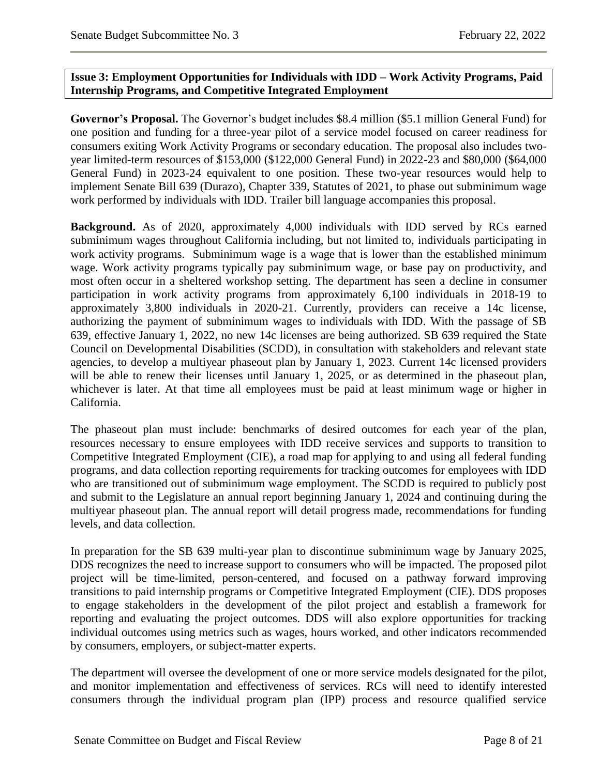## <span id="page-7-0"></span>**Issue 3: Employment Opportunities for Individuals with IDD – Work Activity Programs, Paid Internship Programs, and Competitive Integrated Employment**

**Governor's Proposal.** The Governor's budget includes \$8.4 million (\$5.1 million General Fund) for one position and funding for a three-year pilot of a service model focused on career readiness for consumers exiting Work Activity Programs or secondary education. The proposal also includes twoyear limited-term resources of \$153,000 (\$122,000 General Fund) in 2022-23 and \$80,000 (\$64,000 General Fund) in 2023-24 equivalent to one position. These two-year resources would help to implement Senate Bill 639 (Durazo), Chapter 339, Statutes of 2021, to phase out subminimum wage work performed by individuals with IDD. Trailer bill language accompanies this proposal.

**Background.** As of 2020, approximately 4,000 individuals with IDD served by RCs earned subminimum wages throughout California including, but not limited to, individuals participating in work activity programs. Subminimum wage is a wage that is lower than the established minimum wage. Work activity programs typically pay subminimum wage, or base pay on productivity, and most often occur in a sheltered workshop setting. The department has seen a decline in consumer participation in work activity programs from approximately 6,100 individuals in 2018-19 to approximately 3,800 individuals in 2020-21. Currently, providers can receive a 14c license, authorizing the payment of subminimum wages to individuals with IDD. With the passage of SB 639, effective January 1, 2022, no new 14c licenses are being authorized. SB 639 required the State Council on Developmental Disabilities (SCDD), in consultation with stakeholders and relevant state agencies, to develop a multiyear phaseout plan by January 1, 2023. Current 14c licensed providers will be able to renew their licenses until January 1, 2025, or as determined in the phaseout plan, whichever is later. At that time all employees must be paid at least minimum wage or higher in California.

The phaseout plan must include: benchmarks of desired outcomes for each year of the plan, resources necessary to ensure employees with IDD receive services and supports to transition to Competitive Integrated Employment (CIE), a road map for applying to and using all federal funding programs, and data collection reporting requirements for tracking outcomes for employees with IDD who are transitioned out of subminimum wage employment. The SCDD is required to publicly post and submit to the Legislature an annual report beginning January 1, 2024 and continuing during the multiyear phaseout plan. The annual report will detail progress made, recommendations for funding levels, and data collection.

In preparation for the SB 639 multi-year plan to discontinue subminimum wage by January 2025, DDS recognizes the need to increase support to consumers who will be impacted. The proposed pilot project will be time-limited, person-centered, and focused on a pathway forward improving transitions to paid internship programs or Competitive Integrated Employment (CIE). DDS proposes to engage stakeholders in the development of the pilot project and establish a framework for reporting and evaluating the project outcomes. DDS will also explore opportunities for tracking individual outcomes using metrics such as wages, hours worked, and other indicators recommended by consumers, employers, or subject-matter experts.

The department will oversee the development of one or more service models designated for the pilot, and monitor implementation and effectiveness of services. RCs will need to identify interested consumers through the individual program plan (IPP) process and resource qualified service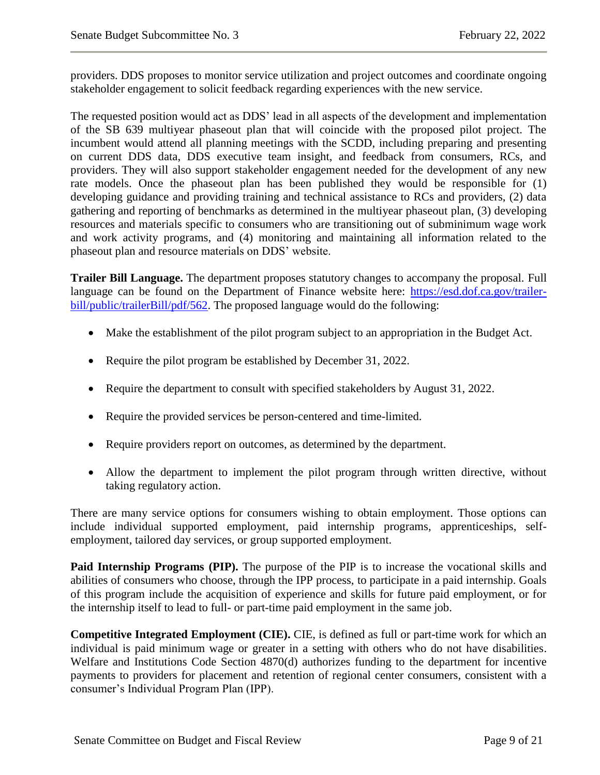providers. DDS proposes to monitor service utilization and project outcomes and coordinate ongoing stakeholder engagement to solicit feedback regarding experiences with the new service.

The requested position would act as DDS' lead in all aspects of the development and implementation of the SB 639 multiyear phaseout plan that will coincide with the proposed pilot project. The incumbent would attend all planning meetings with the SCDD, including preparing and presenting on current DDS data, DDS executive team insight, and feedback from consumers, RCs, and providers. They will also support stakeholder engagement needed for the development of any new rate models. Once the phaseout plan has been published they would be responsible for (1) developing guidance and providing training and technical assistance to RCs and providers, (2) data gathering and reporting of benchmarks as determined in the multiyear phaseout plan, (3) developing resources and materials specific to consumers who are transitioning out of subminimum wage work and work activity programs, and (4) monitoring and maintaining all information related to the phaseout plan and resource materials on DDS' website.

**Trailer Bill Language.** The department proposes statutory changes to accompany the proposal. Full language can be found on the Department of Finance website here: [https://esd.dof.ca.gov/trailer](https://esd.dof.ca.gov/trailer-bill/public/trailerBill/pdf/562)[bill/public/trailerBill/pdf/562.](https://esd.dof.ca.gov/trailer-bill/public/trailerBill/pdf/562) The proposed language would do the following:

- Make the establishment of the pilot program subject to an appropriation in the Budget Act.
- Require the pilot program be established by December 31, 2022.
- Require the department to consult with specified stakeholders by August 31, 2022.
- Require the provided services be person-centered and time-limited.
- Require providers report on outcomes, as determined by the department.
- Allow the department to implement the pilot program through written directive, without taking regulatory action.

There are many service options for consumers wishing to obtain employment. Those options can include individual supported employment, paid internship programs, apprenticeships, selfemployment, tailored day services, or group supported employment.

**Paid Internship Programs (PIP).** The purpose of the PIP is to increase the vocational skills and abilities of consumers who choose, through the IPP process, to participate in a paid internship. Goals of this program include the acquisition of experience and skills for future paid employment, or for the internship itself to lead to full- or part-time paid employment in the same job.

**Competitive Integrated Employment (CIE).** CIE, is defined as full or part-time work for which an individual is paid minimum wage or greater in a setting with others who do not have disabilities. Welfare and Institutions Code Section 4870(d) authorizes funding to the department for incentive payments to providers for placement and retention of regional center consumers, consistent with a consumer's Individual Program Plan (IPP).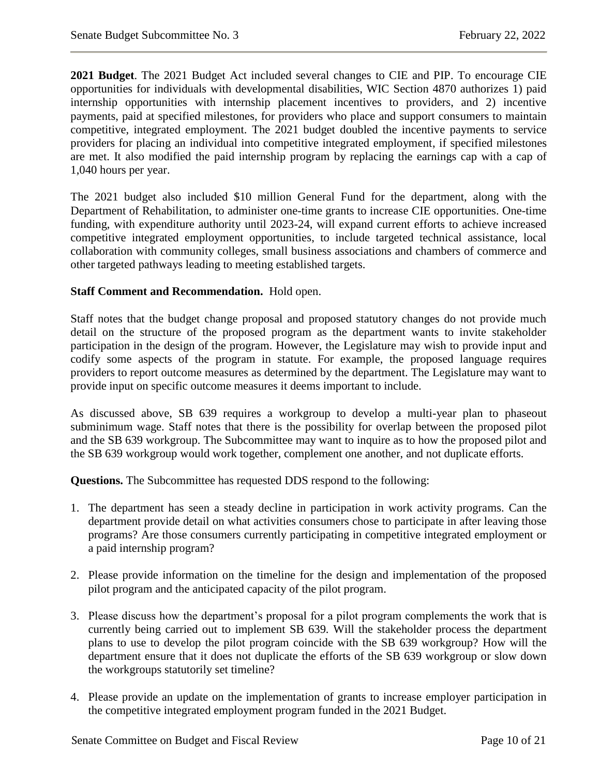**2021 Budget**. The 2021 Budget Act included several changes to CIE and PIP. To encourage CIE opportunities for individuals with developmental disabilities, WIC Section 4870 authorizes 1) paid internship opportunities with internship placement incentives to providers, and 2) incentive payments, paid at specified milestones, for providers who place and support consumers to maintain competitive, integrated employment. The 2021 budget doubled the incentive payments to service providers for placing an individual into competitive integrated employment, if specified milestones are met. It also modified the paid internship program by replacing the earnings cap with a cap of 1,040 hours per year.

The 2021 budget also included \$10 million General Fund for the department, along with the Department of Rehabilitation, to administer one-time grants to increase CIE opportunities. One-time funding, with expenditure authority until 2023-24, will expand current efforts to achieve increased competitive integrated employment opportunities, to include targeted technical assistance, local collaboration with community colleges, small business associations and chambers of commerce and other targeted pathways leading to meeting established targets.

## **Staff Comment and Recommendation.** Hold open.

Staff notes that the budget change proposal and proposed statutory changes do not provide much detail on the structure of the proposed program as the department wants to invite stakeholder participation in the design of the program. However, the Legislature may wish to provide input and codify some aspects of the program in statute. For example, the proposed language requires providers to report outcome measures as determined by the department. The Legislature may want to provide input on specific outcome measures it deems important to include.

As discussed above, SB 639 requires a workgroup to develop a multi-year plan to phaseout subminimum wage. Staff notes that there is the possibility for overlap between the proposed pilot and the SB 639 workgroup. The Subcommittee may want to inquire as to how the proposed pilot and the SB 639 workgroup would work together, complement one another, and not duplicate efforts.

- 1. The department has seen a steady decline in participation in work activity programs. Can the department provide detail on what activities consumers chose to participate in after leaving those programs? Are those consumers currently participating in competitive integrated employment or a paid internship program?
- 2. Please provide information on the timeline for the design and implementation of the proposed pilot program and the anticipated capacity of the pilot program.
- 3. Please discuss how the department's proposal for a pilot program complements the work that is currently being carried out to implement SB 639. Will the stakeholder process the department plans to use to develop the pilot program coincide with the SB 639 workgroup? How will the department ensure that it does not duplicate the efforts of the SB 639 workgroup or slow down the workgroups statutorily set timeline?
- 4. Please provide an update on the implementation of grants to increase employer participation in the competitive integrated employment program funded in the 2021 Budget.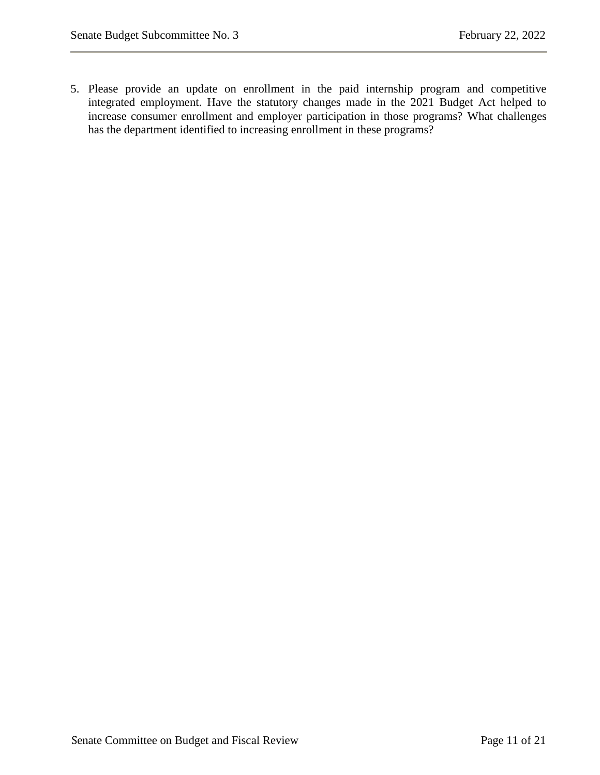5. Please provide an update on enrollment in the paid internship program and competitive integrated employment. Have the statutory changes made in the 2021 Budget Act helped to increase consumer enrollment and employer participation in those programs? What challenges has the department identified to increasing enrollment in these programs?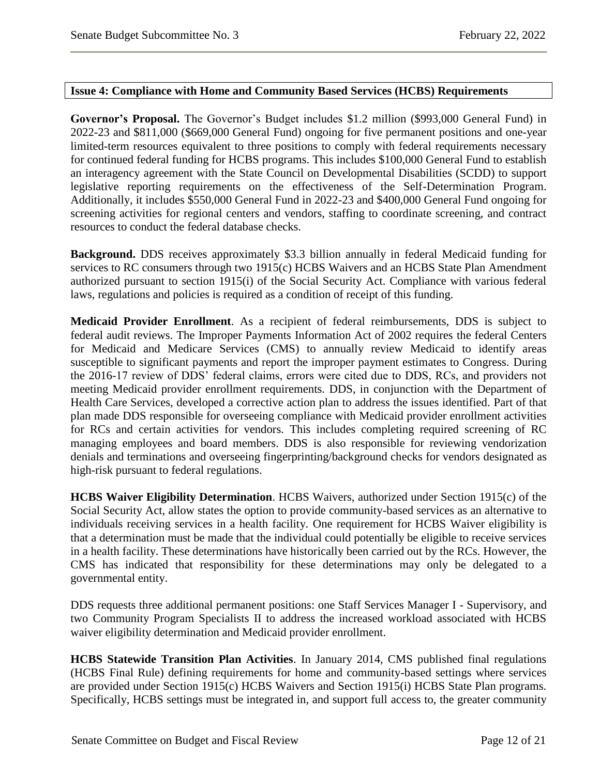#### <span id="page-11-0"></span>**Issue 4: Compliance with Home and Community Based Services (HCBS) Requirements**

**Governor's Proposal.** The Governor's Budget includes \$1.2 million (\$993,000 General Fund) in 2022-23 and \$811,000 (\$669,000 General Fund) ongoing for five permanent positions and one-year limited-term resources equivalent to three positions to comply with federal requirements necessary for continued federal funding for HCBS programs. This includes \$100,000 General Fund to establish an interagency agreement with the State Council on Developmental Disabilities (SCDD) to support legislative reporting requirements on the effectiveness of the Self-Determination Program. Additionally, it includes \$550,000 General Fund in 2022-23 and \$400,000 General Fund ongoing for screening activities for regional centers and vendors, staffing to coordinate screening, and contract resources to conduct the federal database checks.

**Background.** DDS receives approximately \$3.3 billion annually in federal Medicaid funding for services to RC consumers through two 1915(c) HCBS Waivers and an HCBS State Plan Amendment authorized pursuant to section 1915(i) of the Social Security Act. Compliance with various federal laws, regulations and policies is required as a condition of receipt of this funding.

**Medicaid Provider Enrollment**. As a recipient of federal reimbursements, DDS is subject to federal audit reviews. The Improper Payments Information Act of 2002 requires the federal Centers for Medicaid and Medicare Services (CMS) to annually review Medicaid to identify areas susceptible to significant payments and report the improper payment estimates to Congress. During the 2016-17 review of DDS' federal claims, errors were cited due to DDS, RCs, and providers not meeting Medicaid provider enrollment requirements. DDS, in conjunction with the Department of Health Care Services, developed a corrective action plan to address the issues identified. Part of that plan made DDS responsible for overseeing compliance with Medicaid provider enrollment activities for RCs and certain activities for vendors. This includes completing required screening of RC managing employees and board members. DDS is also responsible for reviewing vendorization denials and terminations and overseeing fingerprinting/background checks for vendors designated as high-risk pursuant to federal regulations.

**HCBS Waiver Eligibility Determination**. HCBS Waivers, authorized under Section 1915(c) of the Social Security Act, allow states the option to provide community-based services as an alternative to individuals receiving services in a health facility. One requirement for HCBS Waiver eligibility is that a determination must be made that the individual could potentially be eligible to receive services in a health facility. These determinations have historically been carried out by the RCs. However, the CMS has indicated that responsibility for these determinations may only be delegated to a governmental entity.

DDS requests three additional permanent positions: one Staff Services Manager I - Supervisory, and two Community Program Specialists II to address the increased workload associated with HCBS waiver eligibility determination and Medicaid provider enrollment.

**HCBS Statewide Transition Plan Activities**. In January 2014, CMS published final regulations (HCBS Final Rule) defining requirements for home and community-based settings where services are provided under Section 1915(c) HCBS Waivers and Section 1915(i) HCBS State Plan programs. Specifically, HCBS settings must be integrated in, and support full access to, the greater community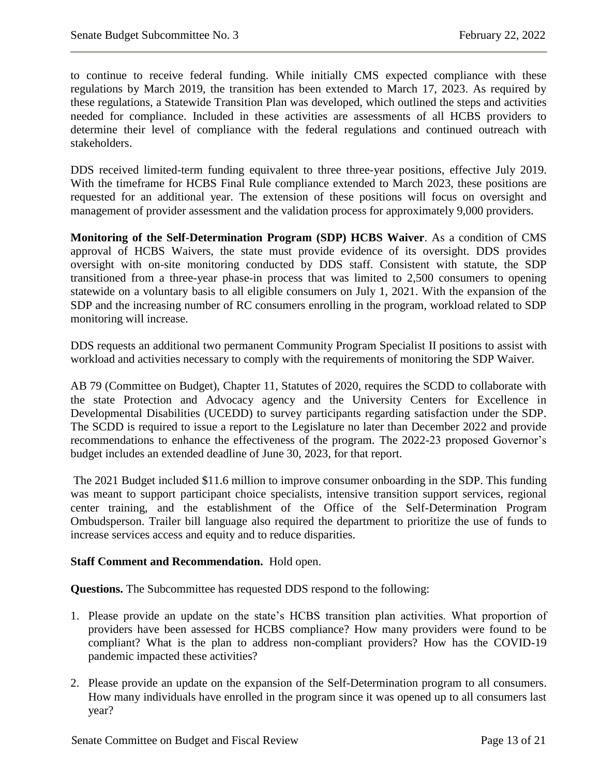to continue to receive federal funding. While initially CMS expected compliance with these regulations by March 2019, the transition has been extended to March 17, 2023. As required by these regulations, a Statewide Transition Plan was developed, which outlined the steps and activities needed for compliance. Included in these activities are assessments of all HCBS providers to determine their level of compliance with the federal regulations and continued outreach with stakeholders.

DDS received limited-term funding equivalent to three three-year positions, effective July 2019. With the timeframe for HCBS Final Rule compliance extended to March 2023, these positions are requested for an additional year. The extension of these positions will focus on oversight and management of provider assessment and the validation process for approximately 9,000 providers.

**Monitoring of the Self-Determination Program (SDP) HCBS Waiver**. As a condition of CMS approval of HCBS Waivers, the state must provide evidence of its oversight. DDS provides oversight with on-site monitoring conducted by DDS staff. Consistent with statute, the SDP transitioned from a three-year phase-in process that was limited to 2,500 consumers to opening statewide on a voluntary basis to all eligible consumers on July 1, 2021. With the expansion of the SDP and the increasing number of RC consumers enrolling in the program, workload related to SDP monitoring will increase.

DDS requests an additional two permanent Community Program Specialist II positions to assist with workload and activities necessary to comply with the requirements of monitoring the SDP Waiver.

AB 79 (Committee on Budget), Chapter 11, Statutes of 2020, requires the SCDD to collaborate with the state Protection and Advocacy agency and the University Centers for Excellence in Developmental Disabilities (UCEDD) to survey participants regarding satisfaction under the SDP. The SCDD is required to issue a report to the Legislature no later than December 2022 and provide recommendations to enhance the effectiveness of the program. The 2022-23 proposed Governor's budget includes an extended deadline of June 30, 2023, for that report.

The 2021 Budget included \$11.6 million to improve consumer onboarding in the SDP. This funding was meant to support participant choice specialists, intensive transition support services, regional center training, and the establishment of the Office of the Self-Determination Program Ombudsperson. Trailer bill language also required the department to prioritize the use of funds to increase services access and equity and to reduce disparities.

#### **Staff Comment and Recommendation.** Hold open.

- 1. Please provide an update on the state's HCBS transition plan activities. What proportion of providers have been assessed for HCBS compliance? How many providers were found to be compliant? What is the plan to address non-compliant providers? How has the COVID-19 pandemic impacted these activities?
- 2. Please provide an update on the expansion of the Self-Determination program to all consumers. How many individuals have enrolled in the program since it was opened up to all consumers last year?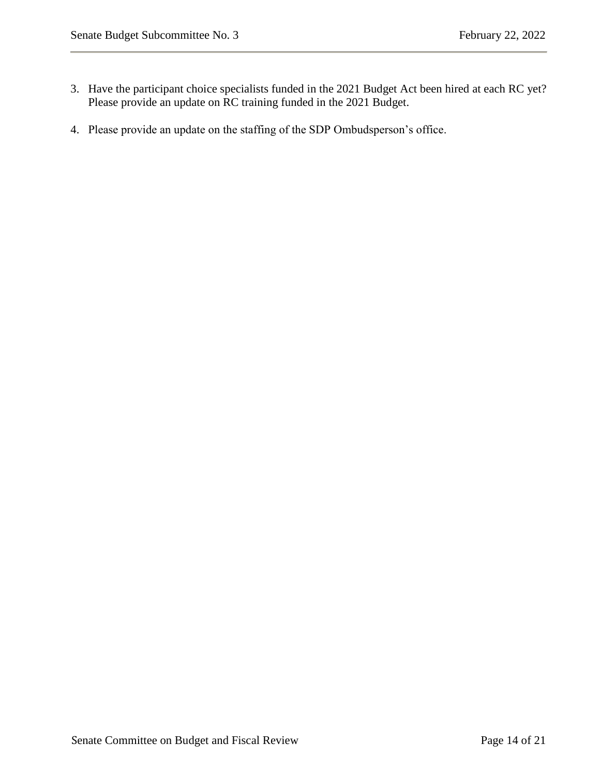- 3. Have the participant choice specialists funded in the 2021 Budget Act been hired at each RC yet? Please provide an update on RC training funded in the 2021 Budget.
- 4. Please provide an update on the staffing of the SDP Ombudsperson's office.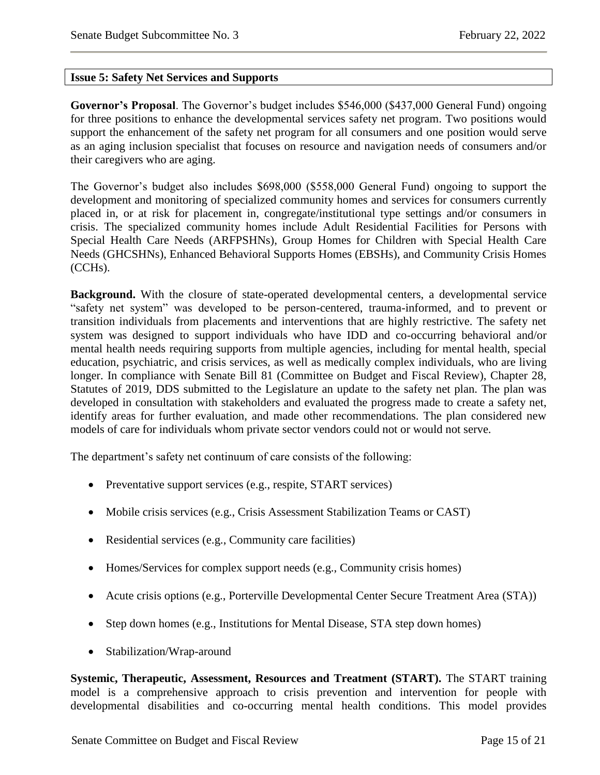#### <span id="page-14-0"></span>**Issue 5: Safety Net Services and Supports**

**Governor's Proposal**. The Governor's budget includes \$546,000 (\$437,000 General Fund) ongoing for three positions to enhance the developmental services safety net program. Two positions would support the enhancement of the safety net program for all consumers and one position would serve as an aging inclusion specialist that focuses on resource and navigation needs of consumers and/or their caregivers who are aging.

The Governor's budget also includes \$698,000 (\$558,000 General Fund) ongoing to support the development and monitoring of specialized community homes and services for consumers currently placed in, or at risk for placement in, congregate/institutional type settings and/or consumers in crisis. The specialized community homes include Adult Residential Facilities for Persons with Special Health Care Needs (ARFPSHNs), Group Homes for Children with Special Health Care Needs (GHCSHNs), Enhanced Behavioral Supports Homes (EBSHs), and Community Crisis Homes (CCHs).

**Background.** With the closure of state-operated developmental centers, a developmental service "safety net system" was developed to be person-centered, trauma-informed, and to prevent or transition individuals from placements and interventions that are highly restrictive. The safety net system was designed to support individuals who have IDD and co-occurring behavioral and/or mental health needs requiring supports from multiple agencies, including for mental health, special education, psychiatric, and crisis services, as well as medically complex individuals, who are living longer. In compliance with Senate Bill 81 (Committee on Budget and Fiscal Review), Chapter 28, Statutes of 2019, DDS submitted to the Legislature an update to the safety net plan. The plan was developed in consultation with stakeholders and evaluated the progress made to create a safety net, identify areas for further evaluation, and made other recommendations. The plan considered new models of care for individuals whom private sector vendors could not or would not serve.

The department's safety net continuum of care consists of the following:

- Preventative support services (e.g., respite, START services)
- Mobile crisis services (e.g., Crisis Assessment Stabilization Teams or CAST)
- Residential services (e.g., Community care facilities)
- Homes/Services for complex support needs (e.g., Community crisis homes)
- Acute crisis options (e.g., Porterville Developmental Center Secure Treatment Area (STA))
- Step down homes (e.g., Institutions for Mental Disease, STA step down homes)
- Stabilization/Wrap-around

**Systemic, Therapeutic, Assessment, Resources and Treatment (START).** The START training model is a comprehensive approach to crisis prevention and intervention for people with developmental disabilities and co-occurring mental health conditions. This model provides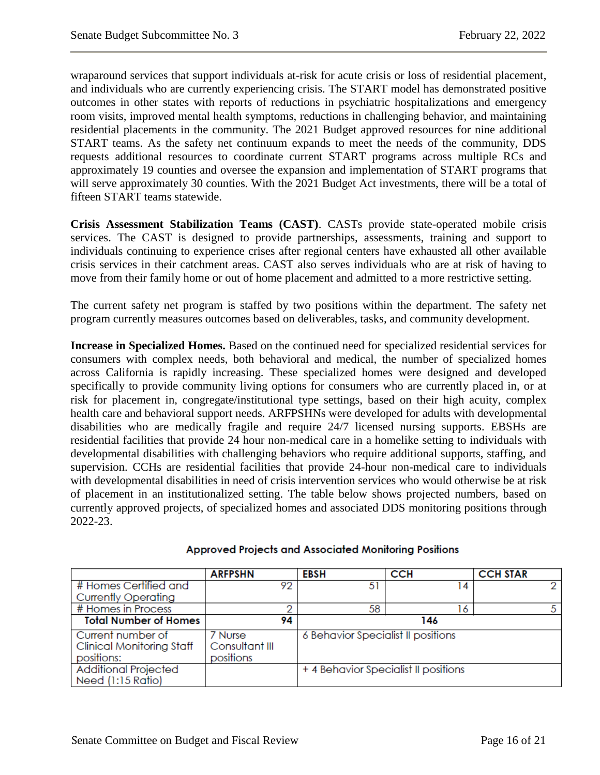wraparound services that support individuals at-risk for acute crisis or loss of residential placement, and individuals who are currently experiencing crisis. The START model has demonstrated positive outcomes in other states with reports of reductions in psychiatric hospitalizations and emergency room visits, improved mental health symptoms, reductions in challenging behavior, and maintaining residential placements in the community. The 2021 Budget approved resources for nine additional START teams. As the safety net continuum expands to meet the needs of the community, DDS requests additional resources to coordinate current START programs across multiple RCs and approximately 19 counties and oversee the expansion and implementation of START programs that will serve approximately 30 counties. With the 2021 Budget Act investments, there will be a total of fifteen START teams statewide.

**Crisis Assessment Stabilization Teams (CAST)**. CASTs provide state-operated mobile crisis services. The CAST is designed to provide partnerships, assessments, training and support to individuals continuing to experience crises after regional centers have exhausted all other available crisis services in their catchment areas. CAST also serves individuals who are at risk of having to move from their family home or out of home placement and admitted to a more restrictive setting.

The current safety net program is staffed by two positions within the department. The safety net program currently measures outcomes based on deliverables, tasks, and community development.

**Increase in Specialized Homes.** Based on the continued need for specialized residential services for consumers with complex needs, both behavioral and medical, the number of specialized homes across California is rapidly increasing. These specialized homes were designed and developed specifically to provide community living options for consumers who are currently placed in, or at risk for placement in, congregate/institutional type settings, based on their high acuity, complex health care and behavioral support needs. ARFPSHNs were developed for adults with developmental disabilities who are medically fragile and require 24/7 licensed nursing supports. EBSHs are residential facilities that provide 24 hour non-medical care in a homelike setting to individuals with developmental disabilities with challenging behaviors who require additional supports, staffing, and supervision. CCHs are residential facilities that provide 24-hour non-medical care to individuals with developmental disabilities in need of crisis intervention services who would otherwise be at risk of placement in an institutionalized setting. The table below shows projected numbers, based on currently approved projects, of specialized homes and associated DDS monitoring positions through 2022-23.

|                                                                     | <b>ARFPSHN</b>                         | <b>EBSH</b>                               | <b>CCH</b> | <b>CCH STAR</b> |
|---------------------------------------------------------------------|----------------------------------------|-------------------------------------------|------------|-----------------|
| # Homes Certified and                                               | 92                                     | 51                                        | 14         | 2               |
| <b>Currently Operating</b>                                          |                                        |                                           |            |                 |
| # Homes in Process                                                  |                                        | 58                                        | 16         | 5               |
| <b>Total Number of Homes</b>                                        | 94                                     |                                           | 146        |                 |
| Current number of<br><b>Clinical Monitoring Staff</b><br>positions: | 7 Nurse<br>Consultant III<br>positions | <b>6 Behavior Specialist II positions</b> |            |                 |
| <b>Additional Projected</b><br>Need (1:15 Ratio)                    |                                        | +4 Behavior Specialist II positions       |            |                 |

#### **Approved Projects and Associated Monitoring Positions**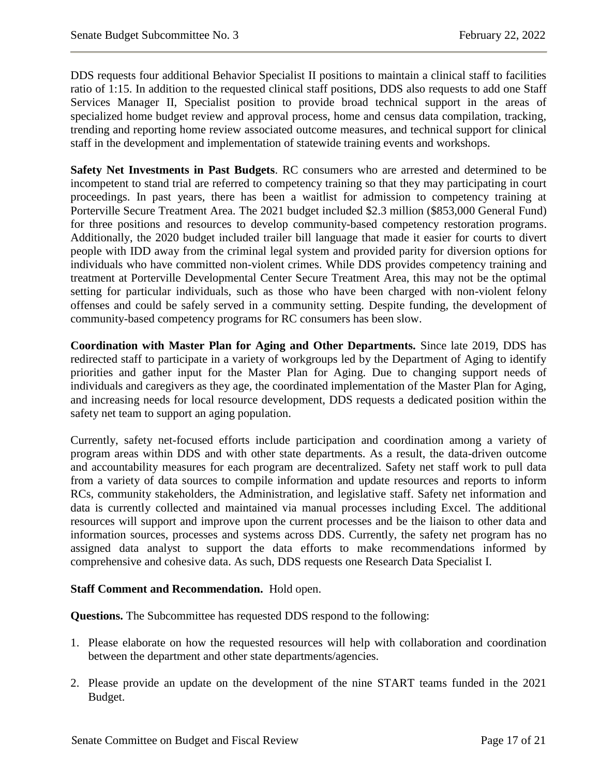DDS requests four additional Behavior Specialist II positions to maintain a clinical staff to facilities ratio of 1:15. In addition to the requested clinical staff positions, DDS also requests to add one Staff Services Manager II, Specialist position to provide broad technical support in the areas of specialized home budget review and approval process, home and census data compilation, tracking, trending and reporting home review associated outcome measures, and technical support for clinical staff in the development and implementation of statewide training events and workshops.

**Safety Net Investments in Past Budgets**. RC consumers who are arrested and determined to be incompetent to stand trial are referred to competency training so that they may participating in court proceedings. In past years, there has been a waitlist for admission to competency training at Porterville Secure Treatment Area. The 2021 budget included \$2.3 million (\$853,000 General Fund) for three positions and resources to develop community-based competency restoration programs. Additionally, the 2020 budget included trailer bill language that made it easier for courts to divert people with IDD away from the criminal legal system and provided parity for diversion options for individuals who have committed non-violent crimes. While DDS provides competency training and treatment at Porterville Developmental Center Secure Treatment Area, this may not be the optimal setting for particular individuals, such as those who have been charged with non-violent felony offenses and could be safely served in a community setting. Despite funding, the development of community-based competency programs for RC consumers has been slow.

**Coordination with Master Plan for Aging and Other Departments.** Since late 2019, DDS has redirected staff to participate in a variety of workgroups led by the Department of Aging to identify priorities and gather input for the Master Plan for Aging. Due to changing support needs of individuals and caregivers as they age, the coordinated implementation of the Master Plan for Aging, and increasing needs for local resource development, DDS requests a dedicated position within the safety net team to support an aging population.

Currently, safety net-focused efforts include participation and coordination among a variety of program areas within DDS and with other state departments. As a result, the data-driven outcome and accountability measures for each program are decentralized. Safety net staff work to pull data from a variety of data sources to compile information and update resources and reports to inform RCs, community stakeholders, the Administration, and legislative staff. Safety net information and data is currently collected and maintained via manual processes including Excel. The additional resources will support and improve upon the current processes and be the liaison to other data and information sources, processes and systems across DDS. Currently, the safety net program has no assigned data analyst to support the data efforts to make recommendations informed by comprehensive and cohesive data. As such, DDS requests one Research Data Specialist I.

#### **Staff Comment and Recommendation.** Hold open.

- 1. Please elaborate on how the requested resources will help with collaboration and coordination between the department and other state departments/agencies.
- 2. Please provide an update on the development of the nine START teams funded in the 2021 Budget.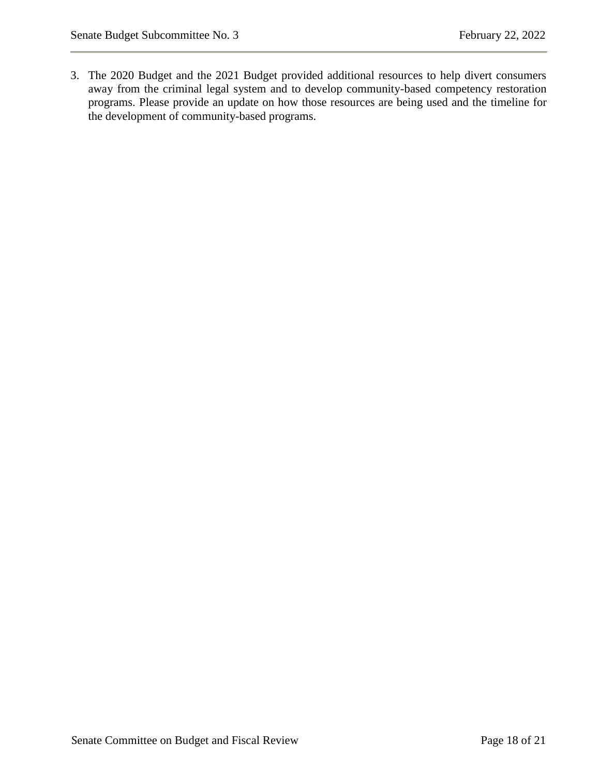3. The 2020 Budget and the 2021 Budget provided additional resources to help divert consumers away from the criminal legal system and to develop community-based competency restoration programs. Please provide an update on how those resources are being used and the timeline for the development of community-based programs.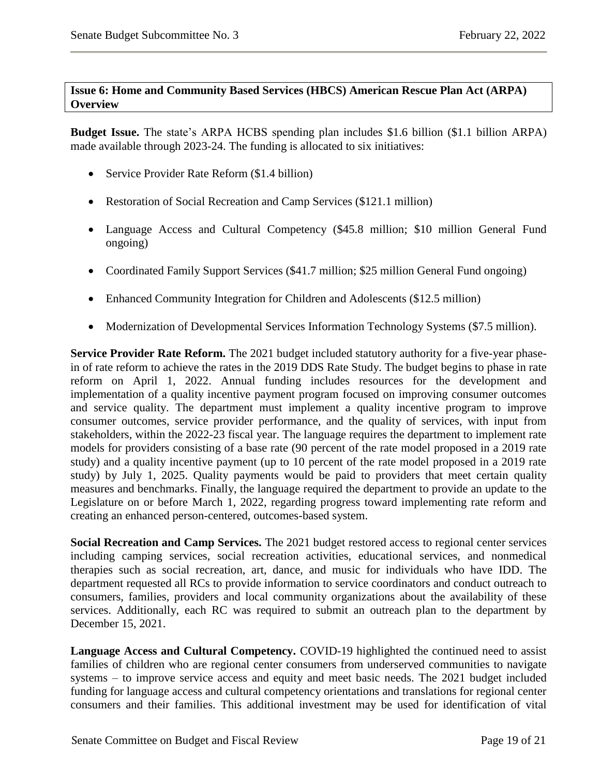#### <span id="page-18-0"></span>**Issue 6: Home and Community Based Services (HBCS) American Rescue Plan Act (ARPA) Overview**

**Budget Issue.** The state's ARPA HCBS spending plan includes \$1.6 billion (\$1.1 billion ARPA) made available through 2023-24. The funding is allocated to six initiatives:

- Service Provider Rate Reform (\$1.4 billion)
- Restoration of Social Recreation and Camp Services (\$121.1 million)
- Language Access and Cultural Competency (\$45.8 million; \$10 million General Fund ongoing)
- Coordinated Family Support Services (\$41.7 million; \$25 million General Fund ongoing)
- Enhanced Community Integration for Children and Adolescents (\$12.5 million)
- Modernization of Developmental Services Information Technology Systems (\$7.5 million).

**Service Provider Rate Reform.** The 2021 budget included statutory authority for a five-year phasein of rate reform to achieve the rates in the 2019 DDS Rate Study. The budget begins to phase in rate reform on April 1, 2022. Annual funding includes resources for the development and implementation of a quality incentive payment program focused on improving consumer outcomes and service quality. The department must implement a quality incentive program to improve consumer outcomes, service provider performance, and the quality of services, with input from stakeholders, within the 2022-23 fiscal year. The language requires the department to implement rate models for providers consisting of a base rate (90 percent of the rate model proposed in a 2019 rate study) and a quality incentive payment (up to 10 percent of the rate model proposed in a 2019 rate study) by July 1, 2025. Quality payments would be paid to providers that meet certain quality measures and benchmarks. Finally, the language required the department to provide an update to the Legislature on or before March 1, 2022, regarding progress toward implementing rate reform and creating an enhanced person-centered, outcomes-based system.

**Social Recreation and Camp Services.** The 2021 budget restored access to regional center services including camping services, social recreation activities, educational services, and nonmedical therapies such as social recreation, art, dance, and music for individuals who have IDD. The department requested all RCs to provide information to service coordinators and conduct outreach to consumers, families, providers and local community organizations about the availability of these services. Additionally, each RC was required to submit an outreach plan to the department by December 15, 2021.

**Language Access and Cultural Competency.** COVID-19 highlighted the continued need to assist families of children who are regional center consumers from underserved communities to navigate systems – to improve service access and equity and meet basic needs. The 2021 budget included funding for language access and cultural competency orientations and translations for regional center consumers and their families. This additional investment may be used for identification of vital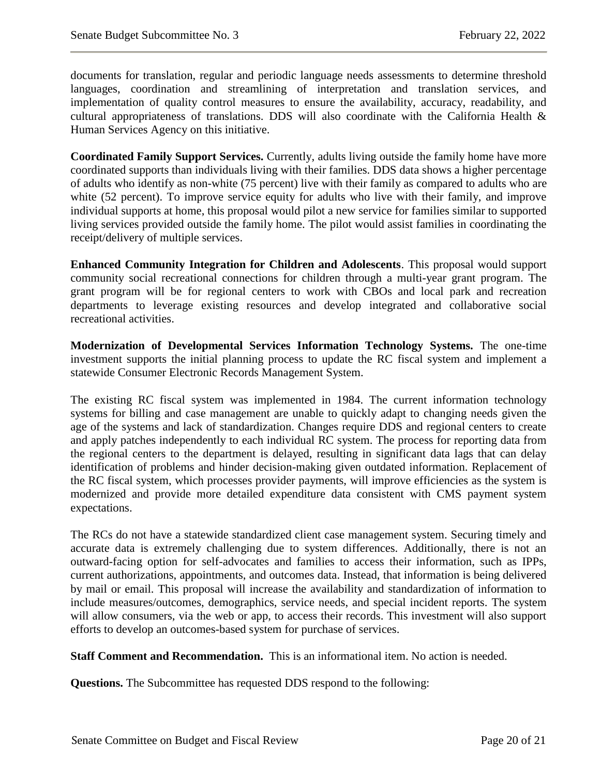documents for translation, regular and periodic language needs assessments to determine threshold languages, coordination and streamlining of interpretation and translation services, and implementation of quality control measures to ensure the availability, accuracy, readability, and cultural appropriateness of translations. DDS will also coordinate with the California Health & Human Services Agency on this initiative.

**Coordinated Family Support Services.** Currently, adults living outside the family home have more coordinated supports than individuals living with their families. DDS data shows a higher percentage of adults who identify as non-white (75 percent) live with their family as compared to adults who are white (52 percent). To improve service equity for adults who live with their family, and improve individual supports at home, this proposal would pilot a new service for families similar to supported living services provided outside the family home. The pilot would assist families in coordinating the receipt/delivery of multiple services.

**Enhanced Community Integration for Children and Adolescents**. This proposal would support community social recreational connections for children through a multi-year grant program. The grant program will be for regional centers to work with CBOs and local park and recreation departments to leverage existing resources and develop integrated and collaborative social recreational activities.

**Modernization of Developmental Services Information Technology Systems.** The one-time investment supports the initial planning process to update the RC fiscal system and implement a statewide Consumer Electronic Records Management System.

The existing RC fiscal system was implemented in 1984. The current information technology systems for billing and case management are unable to quickly adapt to changing needs given the age of the systems and lack of standardization. Changes require DDS and regional centers to create and apply patches independently to each individual RC system. The process for reporting data from the regional centers to the department is delayed, resulting in significant data lags that can delay identification of problems and hinder decision-making given outdated information. Replacement of the RC fiscal system, which processes provider payments, will improve efficiencies as the system is modernized and provide more detailed expenditure data consistent with CMS payment system expectations.

The RCs do not have a statewide standardized client case management system. Securing timely and accurate data is extremely challenging due to system differences. Additionally, there is not an outward-facing option for self-advocates and families to access their information, such as IPPs, current authorizations, appointments, and outcomes data. Instead, that information is being delivered by mail or email. This proposal will increase the availability and standardization of information to include measures/outcomes, demographics, service needs, and special incident reports. The system will allow consumers, via the web or app, to access their records. This investment will also support efforts to develop an outcomes-based system for purchase of services.

**Staff Comment and Recommendation.** This is an informational item. No action is needed.